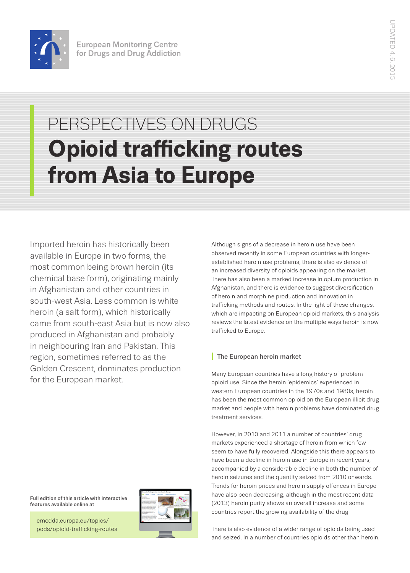

# PERSPECTIVES ON DRUGS **Opioid trafficking routes from Asia to Europe**

Imported heroin has historically been available in Europe in two forms, the most common being brown heroin (its chemical base form), originating mainly in Afghanistan and other countries in south-west Asia. Less common is white heroin (a salt form), which historically came from south-east Asia but is now also produced in Afghanistan and probably in neighbouring Iran and Pakistan. This region, sometimes referred to as the Golden Crescent, dominates production for the European market.

Although signs of a decrease in heroin use have been observed recently in some European countries with longerestablished heroin use problems, there is also evidence of an increased diversity of opioids appearing on the market. There has also been a marked increase in opium production in Afghanistan, and there is evidence to suggest diversification of heroin and morphine production and innovation in trafficking methods and routes. In the light of these changes, which are impacting on European opioid markets, this analysis reviews the latest evidence on the multiple ways heroin is now trafficked to Europe.

## **I** The European heroin market

Many European countries have a long history of problem opioid use. Since the heroin 'epidemics' experienced in western European countries in the 1970s and 1980s, heroin has been the most common opioid on the European illicit drug market and people with heroin problems have dominated drug treatment services.

However, in 2010 and 2011 a number of countries' drug markets experienced a shortage of heroin from which few seem to have fully recovered. Alongside this there appears to have been a decline in heroin use in Europe in recent years, accompanied by a considerable decline in both the number of heroin seizures and the quantity seized from 2010 onwards. Trends for heroin prices and heroin supply offences in Europe have also been decreasing, although in the most recent data (2013) heroin purity shows an overall increase and some countries report the growing availability of the drug.

Full edition of this article with interactive features available online at

emcdda.europa.eu/topics/ pods/opioid-trafficking-routes



There is also evidence of a wider range of opioids being used and seized. In a number of countries opioids other than heroin,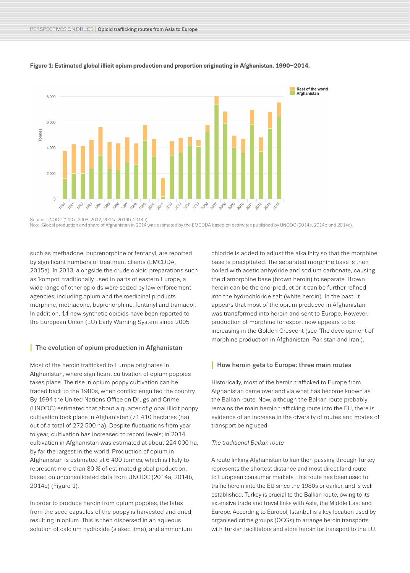

#### **Figure 1: Estimated global illicit opium production and proportion originating in Afghanistan, 1990–2014.**

Source: UNODC (2007, 2008, 2012, 2014a 2014b, 2014c). Note: Global production and share of Afghanistan in 2014 was estimated by the EMCDDA based on estimates published by UNODC (2014a, 2014b and 2014c).

such as methadone, buprenorphine or fentanyl, are reported by significant numbers of treatment clients (EMCDDA, 2015a). In 2013, alongside the crude opioid preparations such as 'kompot' traditionally used in parts of eastern Europe, a wide range of other opioids were seized by law enforcement agencies, including opium and the medicinal products morphine, methadone, buprenorphine, fentanyl and tramadol. In addition, 14 new synthetic opioids have been reported to the European Union (EU) Early Warning System since 2005.

#### **I** The evolution of opium production in Afghanistan

Most of the heroin trafficked to Europe originates in Afghanistan, where significant cultivation of opium poppies takes place. The rise in opium poppy cultivation can be traced back to the 1980s, when conflict engulfed the country. By 1994 the United Nations Office on Drugs and Crime (UNODC) estimated that about a quarter of global illicit poppy cultivation took place in Afghanistan (71 410 hectares (ha) out of a total of 272 500 ha). Despite fluctuations from year to year, cultivation has increased to record levels; in 2014 cultivation in Afghanistan was estimated at about 224 000 ha, by far the largest in the world. Production of opium in Afghanistan is estimated at 6 400 tonnes, which is likely to represent more than 80 % of estimated global production, based on unconsolidated data from UNODC (2014a, 2014b, 2014c) (Figure 1).

In order to produce heroin from opium poppies, the latex from the seed capsules of the poppy is harvested and dried, resulting in opium. This is then dispersed in an aqueous solution of calcium hydroxide (slaked lime), and ammonium

chloride is added to adjust the alkalinity so that the morphine base is precipitated. The separated morphine base is then boiled with acetic anhydride and sodium carbonate, causing the diamorphine base (brown heroin) to separate. Brown heroin can be the end-product or it can be further refined into the hydrochloride salt (white heroin). In the past, it appears that most of the opium produced in Afghanistan was transformed into heroin and sent to Europe. However, production of morphine for export now appears to be increasing in the Golden Crescent (see 'The development of morphine production in Afghanistan, Pakistan and Iran').

#### **I** How heroin gets to Europe: three main routes

Historically, most of the heroin trafficked to Europe from Afghanistan came overland via what has become known as the Balkan route. Now, although the Balkan route probably remains the main heroin trafficking route into the EU, there is evidence of an increase in the diversity of routes and modes of transport being used.

#### *The traditional Balkan route*

A route linking Afghanistan to Iran then passing through Turkey represents the shortest distance and most direct land route to European consumer markets. This route has been used to traffic heroin into the EU since the 1980s or earlier, and is well established. Turkey is crucial to the Balkan route, owing to its extensive trade and travel links with Asia, the Middle East and Europe. According to Europol, Istanbul is a key location used by organised crime groups (OCGs) to arrange heroin transports with Turkish facilitators and store heroin for transport to the EU.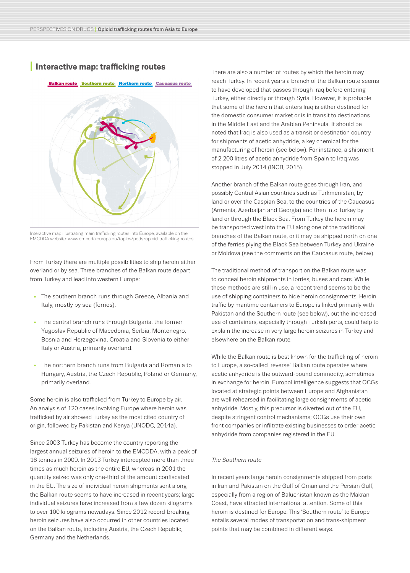# **I Interactive map: trafficking routes**

#### Balkan route Southern route Northern route Caucasus route



Interactive map illustrating main trafficking routes into Europe, available on the EMCDDA website: www.emcdda.europa.eu/topics/pods/opioid-trafficking-routes

From Turkey there are multiple possibilities to ship heroin either overland or by sea. Three branches of the Balkan route depart from Turkey and lead into western Europe:

- The southern branch runs through Greece, Albania and Italy, mostly by sea (ferries).
- The central branch runs through Bulgaria, the former Yugoslav Republic of Macedonia, Serbia, Montenegro, Bosnia and Herzegovina, Croatia and Slovenia to either Italy or Austria, primarily overland.
- The northern branch runs from Bulgaria and Romania to Hungary, Austria, the Czech Republic, Poland or Germany, primarily overland.

Some heroin is also trafficked from Turkey to Europe by air. An analysis of 120 cases involving Europe where heroin was trafficked by air showed Turkey as the most cited country of origin, followed by Pakistan and Kenya (UNODC, 2014a).

Since 2003 Turkey has become the country reporting the largest annual seizures of heroin to the EMCDDA, with a peak of 16 tonnes in 2009. In 2013 Turkey intercepted more than three times as much heroin as the entire EU, whereas in 2001 the quantity seized was only one-third of the amount confiscated in the EU. The size of individual heroin shipments sent along the Balkan route seems to have increased in recent years; large individual seizures have increased from a few dozen kilograms to over 100 kilograms nowadays. Since 2012 record-breaking heroin seizures have also occurred in other countries located on the Balkan route, including Austria, the Czech Republic, Germany and the Netherlands.

There are also a number of routes by which the heroin may reach Turkey. In recent years a branch of the Balkan route seems to have developed that passes through Iraq before entering Turkey, either directly or through Syria. However, it is probable that some of the heroin that enters Iraq is either destined for the domestic consumer market or is in transit to destinations in the Middle East and the Arabian Peninsula. It should be noted that Iraq is also used as a transit or destination country for shipments of acetic anhydride, a key chemical for the manufacturing of heroin (see below). For instance, a shipment of 2 200 litres of acetic anhydride from Spain to Iraq was stopped in July 2014 (INCB, 2015).

Another branch of the Balkan route goes through Iran, and possibly Central Asian countries such as Turkmenistan, by land or over the Caspian Sea, to the countries of the Caucasus (Armenia, Azerbaijan and Georgia) and then into Turkey by land or through the Black Sea. From Turkey the heroin may be transported west into the EU along one of the traditional branches of the Balkan route, or it may be shipped north on one of the ferries plying the Black Sea between Turkey and Ukraine or Moldova (see the comments on the Caucasus route, below).

The traditional method of transport on the Balkan route was to conceal heroin shipments in lorries, buses and cars. While these methods are still in use, a recent trend seems to be the use of shipping containers to hide heroin consignments. Heroin traffic by maritime containers to Europe is linked primarily with Pakistan and the Southern route (see below), but the increased use of containers, especially through Turkish ports, could help to explain the increase in very large heroin seizures in Turkey and elsewhere on the Balkan route.

While the Balkan route is best known for the trafficking of heroin to Europe, a so-called 'reverse' Balkan route operates where acetic anhydride is the outward-bound commodity, sometimes in exchange for heroin. Europol intelligence suggests that OCGs located at strategic points between Europe and Afghanistan are well rehearsed in facilitating large consignments of acetic anhydride. Mostly, this precursor is diverted out of the EU, despite stringent control mechanisms; OCGs use their own front companies or infiltrate existing businesses to order acetic anhydride from companies registered in the EU.

#### *The Southern route*

In recent years large heroin consignments shipped from ports in Iran and Pakistan on the Gulf of Oman and the Persian Gulf, especially from a region of Baluchistan known as the Makran Coast, have attracted international attention. Some of this heroin is destined for Europe. This 'Southern route' to Europe entails several modes of transportation and trans-shipment points that may be combined in different ways.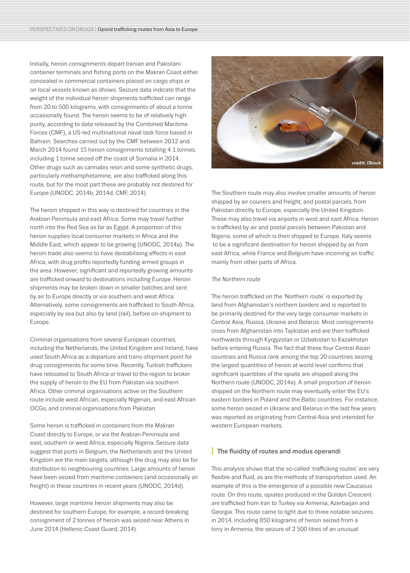Initially, heroin consignments depart Iranian and Pakistani container terminals and fishing ports on the Makran Coast either concealed in commercial containers placed on cargo ships or on local vessels known as dhows. Seizure data indicate that the weight of the individual heroin shipments trafficked can range from 20 to 500 kilograms, with consignments of about a tonne occasionally found. The heroin seems to be of relatively high purity, according to data released by the Combined Maritime Forces (CMF), a US-led multinational naval task force based in Bahrain. Searches carried out by the CMF between 2012 and March 2014 found 15 heroin consignments totalling 4.1 tonnes, including 1 tonne seized off the coast of Somalia in 2014. Other drugs such as cannabis resin and some synthetic drugs, particularly methamphetamine, are also trafficked along this route, but for the most part these are probably not destined for Europe (UNODC, 2014b, 2014d; CMF, 2014).

The heroin shipped in this way is destined for countries in the Arabian Peninsula and east Africa. Some may travel further north into the Red Sea as far as Egypt. A proportion of this heroin supplies local consumer markets in Africa and the Middle East, which appear to be growing (UNODC, 2014a). The heroin trade also seems to have destabilising effects in east Africa, with drug profits reportedly funding armed groups in the area. However, significant and reportedly growing amounts are trafficked onward to destinations including Europe. Heroin shipments may be broken down in smaller batches and sent by air to Europe directly or via southern and west Africa. Alternatively, some consignments are trafficked to South Africa, especially by sea but also by land (rail), before on-shipment to Europe.

Criminal organisations from several European countries, including the Netherlands, the United Kingdom and Ireland, have used South Africa as a departure and trans-shipment point for drug consignments for some time. Recently, Turkish traffickers have relocated to South Africa or travel to the region to broker the supply of heroin to the EU from Pakistan via southern Africa. Other criminal organisations active on the Southern route include west African, especially Nigerian, and east African OCGs, and criminal organisations from Pakistan.

Some heroin is trafficked in containers from the Makran Coast directly to Europe, or via the Arabian Peninsula and east, southern or west Africa, especially Nigeria. Seizure data suggest that ports in Belgium, the Netherlands and the United Kingdom are the main targets, although the drug may also be for distribution to neighbouring countries. Large amounts of heroin have been seized from maritime containers (and occasionally air freight) in these countries in recent years (UNODC, 2014d).

However, large maritime heroin shipments may also be destined for southern Europe; for example, a record-breaking consignment of 2 tonnes of heroin was seized near Athens in June 2014 (Hellenic Coast Guard, 2014).



The Southern route may also involve smaller amounts of heroin shipped by air couriers and freight, and postal parcels, from Pakistan directly to Europe, especially the United Kingdom. These may also travel via airports in west and east Africa. Heroin is trafficked by air and postal parcels between Pakistan and Nigeria, some of which is then shipped to Europe. Italy seems to be a significant destination for heroin shipped by air from east Africa, while France and Belgium have incoming air traffic mainly from other parts of Africa.

#### *The Northern route*

The heroin trafficked on the 'Northern route' is exported by land from Afghanistan's northern borders and is reported to be primarily destined for the very large consumer markets in Central Asia, Russia, Ukraine and Belarus. Most consignments cross from Afghanistan into Tajikistan and are then trafficked northwards through Kyrgyzstan or Uzbekistan to Kazakhstan before entering Russia. The fact that these four Central Asian countries and Russia rank among the top 20 countries seizing the largest quantities of heroin at world level confirms that significant quantities of the opiate are shipped along the Northern route (UNODC, 2014a). A small proportion of heroin shipped on the Northern route may eventually enter the EU's eastern borders in Poland and the Baltic countries. For instance, some heroin seized in Ukraine and Belarus in the last few years was reported as originating from Central Asia and intended for western European markets.

#### **I** The fluidity of routes and modus operandi

This analysis shows that the so-called 'trafficking routes' are very flexible and fluid, as are the methods of transportation used. An example of this is the emergence of a possible new Caucasus route. On this route, opiates produced in the Golden Crescent are trafficked from Iran to Turkey via Armenia, Azerbaijan and Georgia. This route came to light due to three notable seizures in 2014, including 850 kilograms of heroin seized from a lorry in Armenia, the seizure of 2 500 litres of an unusual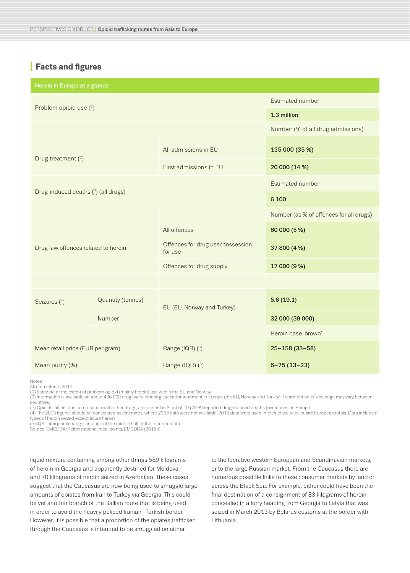# **I Facts and figures**

| Heroin in Europe at a glance        |                          |                                             |                                         |
|-------------------------------------|--------------------------|---------------------------------------------|-----------------------------------------|
| Problem opioid use (1)              |                          |                                             | Estimated number                        |
|                                     |                          |                                             | 1.3 million                             |
|                                     |                          |                                             | Number (% of all drug admissions)       |
| Drug treatment (2)                  |                          | All admissions in EU                        | 135 000 (35 %)                          |
|                                     |                          | First admissions in EU                      | 20 000 (14 %)                           |
| Drug-induced deaths (3) (all drugs) |                          |                                             | Estimated number                        |
|                                     |                          |                                             | 6 100                                   |
|                                     |                          |                                             | Number (as % of offences for all drugs) |
| Drug law offences related to heroin |                          | All offences                                | 60 000 (5 %)                            |
|                                     |                          | Offences for drug use/possession<br>for use | 37 800 (4 %)                            |
|                                     |                          | Offences for drug supply                    | 17 000 (9 %)                            |
|                                     |                          |                                             |                                         |
| Seizures (4)                        | <b>Quantity (tonnes)</b> | EU (EU, Norway and Turkey)                  | 5.6(19.1)                               |
|                                     | Number                   |                                             | 32 000 (39 000)                         |
|                                     |                          |                                             | Heroin base 'brown'                     |
| Mean retail price (EUR per gram)    |                          | Range (IQR) (5)                             | $25 - 158(33 - 58)$                     |
| Mean purity (%)                     |                          | Range (IQR) (5)                             | $6 - 75(13 - 23)$                       |

Notes:

All data refer to 2013.

(1) Estimate of the extent of problem opioid (mainly heroin) use within the EU and Norway.

(2) Information is available on about 436 000 drug users entering specialist treatment in Europe (the EU, Norway and Turkey). Treatment units' coverage may vary between countries.

(3) Opioids, alone or in combination with other drugs, are present in 8 out of 10 (79 %) reported drug-induced deaths (overdoses) in Europe.

(4) The 2013 figures should be considered as estimates; where 2013 data were not available, 2012 data were used in their place to calculate European totals. Data include all types of heroin seized except liquid heroin.

(5) IQR: interquartile range, or range of the middle half of the reported data.

Source: EMCDDA/Reitox national focal points, EMCDDA (2015b).

liquid mixture containing among other things 589 kilograms of heroin in Georgia and apparently destined for Moldova, and 70 kilograms of heroin seized in Azerbaijan. These cases suggest that the Caucasus are now being used to smuggle large amounts of opiates from Iran to Turkey via Georgia. This could be yet another branch of the Balkan route that is being used in order to avoid the heavily policed Iranian–Turkish border. However, it is possible that a proportion of the opiates trafficked through the Caucasus is intended to be smuggled on either

to the lucrative western European and Scandinavian markets, or to the large Russian market. From the Caucasus there are numerous possible links to these consumer markets by land or across the Black Sea. For example, either could have been the final destination of a consignment of 83 kilograms of heroin concealed in a lorry heading from Georgia to Latvia that was seized in March 2013 by Belarus customs at the border with Lithuania.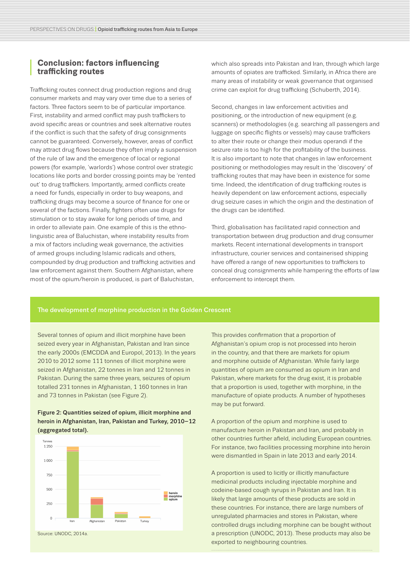### **<sup>I</sup> Conclusion: factors influencing trafficking routes**

Trafficking routes connect drug production regions and drug consumer markets and may vary over time due to a series of factors. Three factors seem to be of particular importance. First, instability and armed conflict may push traffickers to avoid specific areas or countries and seek alternative routes if the conflict is such that the safety of drug consignments cannot be guaranteed. Conversely, however, areas of conflict may attract drug flows because they often imply a suspension of the rule of law and the emergence of local or regional powers (for example, 'warlords') whose control over strategic locations like ports and border crossing points may be 'rented out' to drug traffickers. Importantly, armed conflicts create a need for funds, especially in order to buy weapons, and trafficking drugs may become a source of finance for one or several of the factions. Finally, fighters often use drugs for stimulation or to stay awake for long periods of time, and in order to alleviate pain. One example of this is the ethnolinguistic area of Baluchistan, where instability results from a mix of factors including weak governance, the activities of armed groups including Islamic radicals and others, compounded by drug production and trafficking activities and law enforcement against them. Southern Afghanistan, where most of the opium/heroin is produced, is part of Baluchistan,

which also spreads into Pakistan and Iran, through which large amounts of opiates are trafficked. Similarly, in Africa there are many areas of instability or weak governance that organised crime can exploit for drug trafficking (Schuberth, 2014).

Second, changes in law enforcement activities and positioning, or the introduction of new equipment (e.g. scanners) or methodologies (e.g. searching all passengers and luggage on specific flights or vessels) may cause traffickers to alter their route or change their modus operandi if the seizure rate is too high for the profitability of the business. It is also important to note that changes in law enforcement positioning or methodologies may result in the 'discovery' of trafficking routes that may have been in existence for some time. Indeed, the identification of drug trafficking routes is heavily dependent on law enforcement actions, especially drug seizure cases in which the origin and the destination of the drugs can be identified.

Third, globalisation has facilitated rapid connection and transportation between drug production and drug consumer markets. Recent international developments in transport infrastructure, courier services and containerised shipping have offered a range of new opportunities to traffickers to conceal drug consignments while hampering the efforts of law enforcement to intercept them.

#### The development of morphine production in the Golden Crescent

Several tonnes of opium and illicit morphine have been seized every year in Afghanistan, Pakistan and Iran since the early 2000s (EMCDDA and Europol, 2013). In the years 2010 to 2012 some 111 tonnes of illicit morphine were seized in Afghanistan, 22 tonnes in Iran and 12 tonnes in Pakistan. During the same three years, seizures of opium totalled 231 tonnes in Afghanistan, 1 160 tonnes in Iran and 73 tonnes in Pakistan (see Figure 2).

#### Figure 2: Quantities seized of opium, illicit morphine and heroin in Afghanistan, Iran, Pakistan and Turkey, 2010–12 (aggregated total).



Source: UNODC, 2014a.

This provides confirmation that a proportion of Afghanistan's opium crop is not processed into heroin in the country, and that there are markets for opium and morphine outside of Afghanistan. While fairly large quantities of opium are consumed as opium in Iran and Pakistan, where markets for the drug exist, it is probable that a proportion is used, together with morphine, in the manufacture of opiate products. A number of hypotheses may be put forward.

A proportion of the opium and morphine is used to manufacture heroin in Pakistan and Iran, and probably in other countries further afield, including European countries. For instance, two facilities processing morphine into heroin were dismantled in Spain in late 2013 and early 2014.

A proportion is used to licitly or illicitly manufacture medicinal products including injectable morphine and codeine-based cough syrups in Pakistan and Iran. It is likely that large amounts of these products are sold in these countries. For instance, there are large numbers of unregulated pharmacies and stores in Pakistan, where controlled drugs including morphine can be bought without a prescription (UNODC, 2013). These products may also be exported to neighbouring countries.